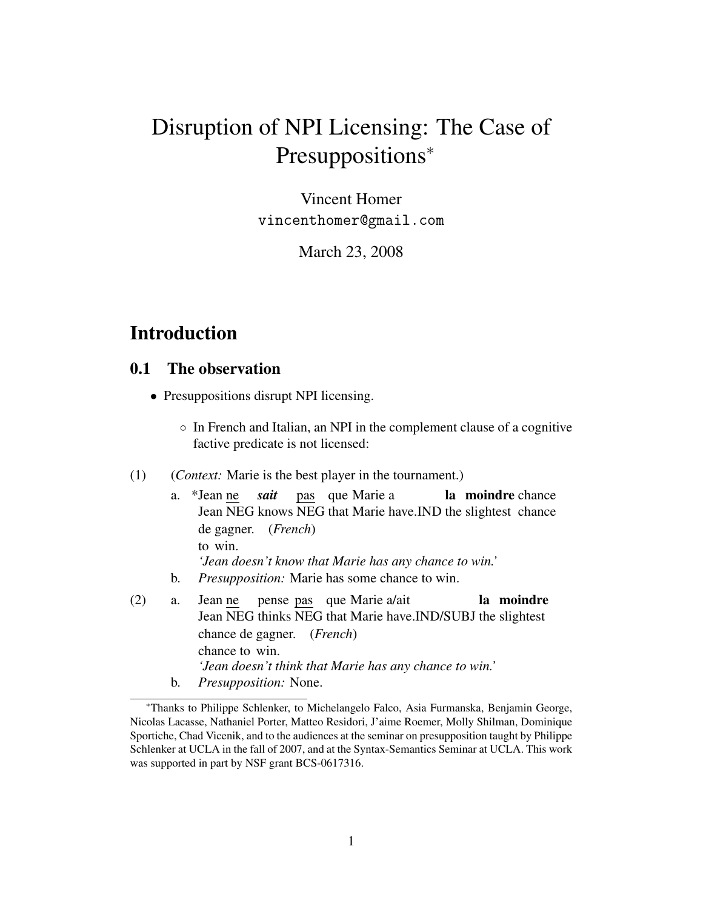# Disruption of NPI Licensing: The Case of Presuppositions<sup>∗</sup>

Vincent Homer vincenthomer@gmail.com

March 23, 2008

## Introduction

#### 0.1 The observation

- Presuppositions disrupt NPI licensing.
	- In French and Italian, an NPI in the complement clause of a cognitive factive predicate is not licensed:
- (1) (*Context:* Marie is the best player in the tournament.)
	- a. \*Jean ne Jean NEG knows NEG that Marie have. IND the slightest chance *sait* pas que Marie a la moindre chance de gagner. (*French*) to win. *'Jean doesn't know that Marie has any chance to win.'* b. *Presupposition:* Marie has some chance to win.
- (2) a. Jean ne Jean NEG thinks NEG that Marie have.IND/SUBJ the slightest pense pas que Marie a/ait la moindre chance de gagner. (*French*) chance to win. *'Jean doesn't think that Marie has any chance to win.'* b. *Presupposition:* None.

<sup>∗</sup>Thanks to Philippe Schlenker, to Michelangelo Falco, Asia Furmanska, Benjamin George, Nicolas Lacasse, Nathaniel Porter, Matteo Residori, J'aime Roemer, Molly Shilman, Dominique Sportiche, Chad Vicenik, and to the audiences at the seminar on presupposition taught by Philippe Schlenker at UCLA in the fall of 2007, and at the Syntax-Semantics Seminar at UCLA. This work was supported in part by NSF grant BCS-0617316.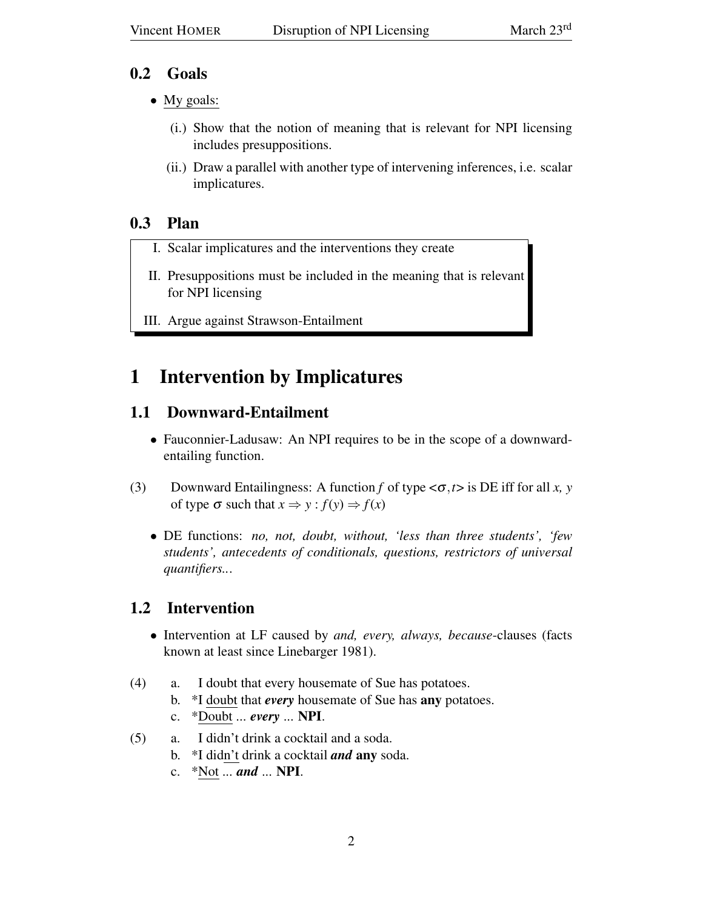## 0.2 Goals

- My goals:
	- (i.) Show that the notion of meaning that is relevant for NPI licensing includes presuppositions.
	- (ii.) Draw a parallel with another type of intervening inferences, i.e. scalar implicatures.

## 0.3 Plan

- I. Scalar implicatures and the interventions they create
- II. Presuppositions must be included in the meaning that is relevant for NPI licensing
- III. Argue against Strawson-Entailment

# 1 Intervention by Implicatures

## 1.1 Downward-Entailment

- Fauconnier-Ladusaw: An NPI requires to be in the scope of a downwardentailing function.
- (3) Downward Entailingness: A function *f* of type <σ,*t*> is DE iff for all *x, y* of type  $\sigma$  such that  $x \Rightarrow y : f(y) \Rightarrow f(x)$ 
	- DE functions: *no, not, doubt, without, 'less than three students', 'few students', antecedents of conditionals, questions, restrictors of universal quantifiers..*.

## 1.2 Intervention

- Intervention at LF caused by *and, every, always, because*-clauses (facts known at least since Linebarger 1981).
- (4) a. I doubt that every housemate of Sue has potatoes.
	- b. \*I doubt that *every* housemate of Sue has any potatoes.
	- c. \*Doubt ... *every* ... NPI.
- (5) a. I didn't drink a cocktail and a soda.
	- b. \*I didn't drink a cocktail *and* any soda.
	- c. \*Not ... *and* ... NPI.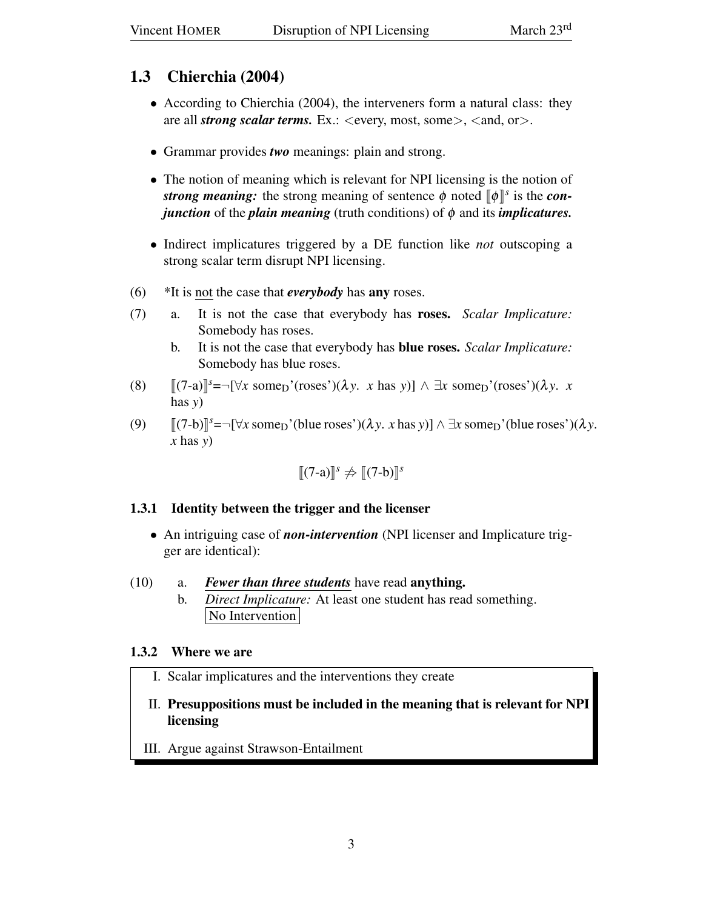## 1.3 Chierchia (2004)

- According to Chierchia (2004), the interveners form a natural class: they are all *strong scalar terms*. Ex.: <every, most, some>, <and, or>.
- Grammar provides *two* meanings: plain and strong.
- The notion of meaning which is relevant for NPI licensing is the notion of *strong meaning:* the strong meaning of sentence  $\phi$  noted  $[\![\phi]\!]^s$  is the *con*-<br>*iunction* of the *plain meaning* (truth conditions) of  $\phi$  and its *implicatures*. *junction* of the *plain meaning* (truth conditions) of φ and its *implicatures.*
- Indirect implicatures triggered by a DE function like *not* outscoping a strong scalar term disrupt NPI licensing.
- (6) \*It is not the case that *everybody* has any roses.
- (7) a. It is not the case that everybody has roses. *Scalar Implicature:* Somebody has roses.
	- b. It is not the case that everybody has blue roses. *Scalar Implicature:* Somebody has blue roses.
- (8)  $[(7-a)]^s = \neg[\forall x \text{ some}_D'(\text{roses'})(\lambda y. x \text{ has } y)] \wedge \exists x \text{ some}_D'(\text{roses'})(\lambda y. x \text{ has } y)]$ has *y*)
- (9)  $[(7-b)]^s = \neg [\forall x \text{ some } (b \text{ line } \text{roses'}) (\lambda y. x \text{ has } y)] \wedge \exists x \text{ some } (b \text{ line } \text{roses'}) (\lambda y. x \text{ has } y)$ *x* has *y*)

$$
[\![\mathbf{Z}(\mathbf{Z}-\mathbf{a})]\!]^s \not\Rightarrow [\![\mathbf{Z}(\mathbf{Z}-\mathbf{b})]\!]^s
$$

## 1.3.1 Identity between the trigger and the licenser

• An intriguing case of *non-intervention* (NPI licenser and Implicature trigger are identical):

### (10) a. *Fewer than three students* have read anything.

b. *Direct Implicature:* At least one student has read something. No Intervention

## 1.3.2 Where we are

- I. Scalar implicatures and the interventions they create
- II. Presuppositions must be included in the meaning that is relevant for NPI licensing
- III. Argue against Strawson-Entailment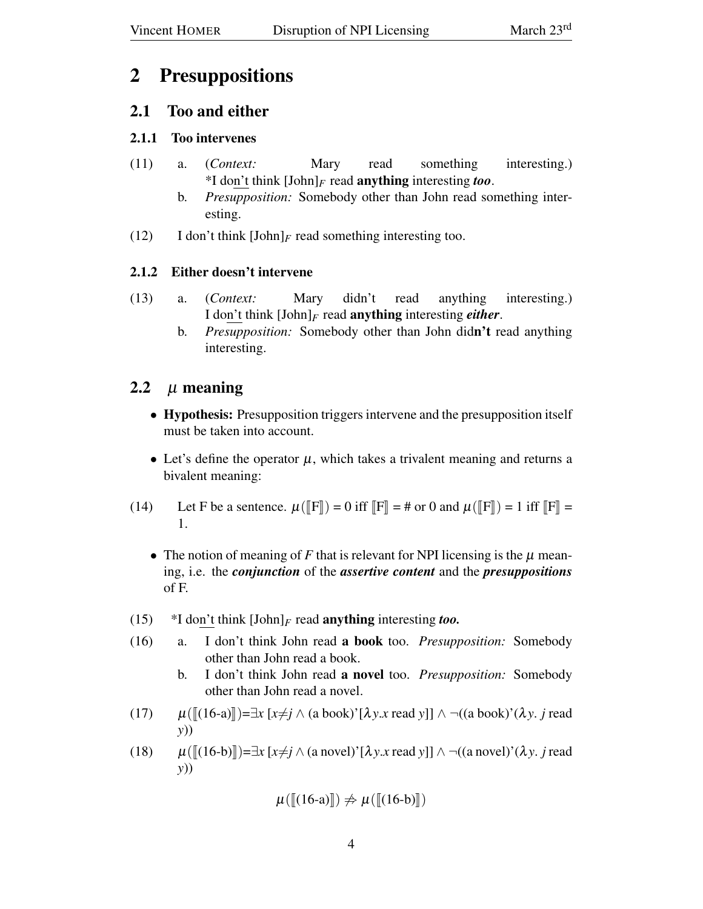## 2 Presuppositions

## 2.1 Too and either

## 2.1.1 Too intervenes

- (11) a. (*Context:* Mary read something interesting.) \*I don't think  $[John]_F$  read **anything** interesting *too*.
	- b. *Presupposition:* Somebody other than John read something interesting.
- (12) I don't think  $[John]_F$  read something interesting too.

## 2.1.2 Either doesn't intervene

- (13) a. (*Context:* Mary didn't read anything interesting.) I don't think [John]*<sup>F</sup>* read anything interesting *either*.
	- b. *Presupposition:* Somebody other than John didn't read anything interesting.

## 2.2  $\mu$  meaning

- Hypothesis: Presupposition triggers intervene and the presupposition itself must be taken into account.
- Let's define the operator  $\mu$ , which takes a trivalent meaning and returns a bivalent meaning:
- (14) Let F be a sentence.  $\mu(\mathbb{F}) = 0$  iff  $\mathbb{F} = \mathbb{F}$  or 0 and  $\mu(\mathbb{F}) = 1$  iff  $\mathbb{F} =$ 1.
	- The notion of meaning of  $F$  that is relevant for NPI licensing is the  $\mu$  meaning, i.e. the *conjunction* of the *assertive content* and the *presuppositions* of F.
- (15)  $*I$  don't think  $[John]_F$  read **anything** interesting *too*.
- (16) a. I don't think John read a book too. *Presupposition:* Somebody other than John read a book.
	- b. I don't think John read a novel too. *Presupposition:* Somebody other than John read a novel.
- (17)  $\mu([ (16-a)]\right) = \exists x [x \neq j \land (a book)' [\lambda y.x read y]] \land \neg ((a book)' (\lambda y.x read y)))$ *y*))
- (18)  $\mu([16-b]]=\exists x [x\neq j \land (a novel)'[\lambda y.x read y]] \land \neg((a novel)'(\lambda y.x read y)))$ *y*))

$$
\mu([\llbracket (16-a)\rrbracket) \not\Rightarrow \mu([\llbracket (16-b)\rrbracket)
$$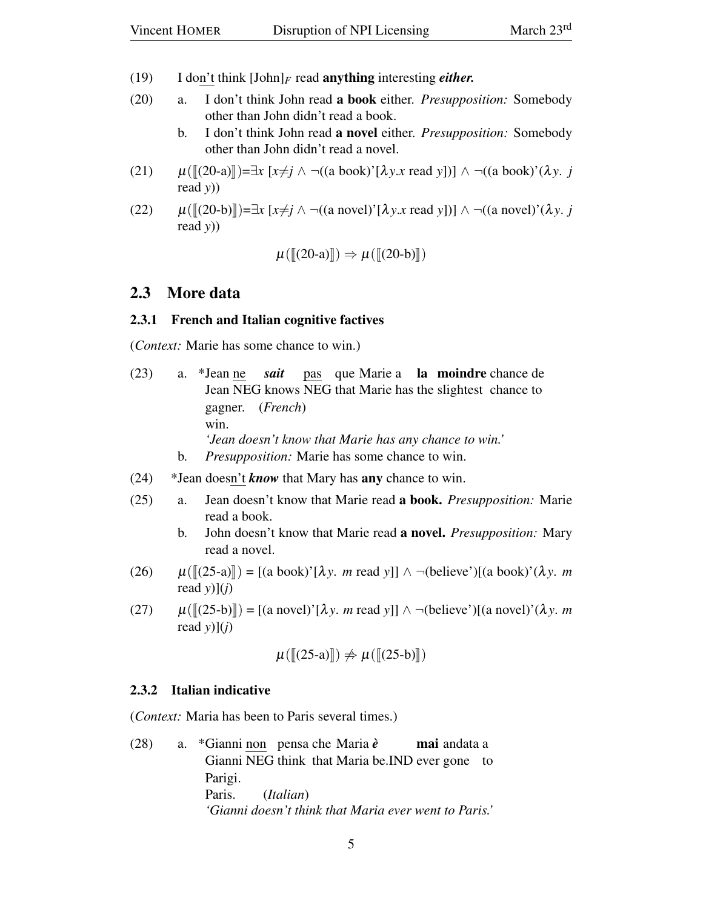- (19) I don't think [John]*<sup>F</sup>* read anything interesting *either.*
- (20) a. I don't think John read a book either. *Presupposition:* Somebody other than John didn't read a book.
	- b. I don't think John read a novel either. *Presupposition:* Somebody other than John didn't read a novel.
- (21)  $\mu([[20-a]]) = ∃x [x \neq j \land \neg((a book)^{'}[\lambda y.x \text{ read } y])] \land \neg((a book)^{'}(\lambda y.x \text{ if } y.x \text{ read } y)))$ read *y*))
- (22)  $\mu([[20-b]])=\exists x [x\neq j \land \neg((a novel)'[\lambda y.x read y])] \land \neg((a novel)'(\lambda y. j))$ read *y*))

$$
\mu([\llbracket (20-a)\rrbracket) \Rightarrow \mu([\llbracket (20-b)\rrbracket)
$$

#### 2.3 More data

#### 2.3.1 French and Italian cognitive factives

(*Context:* Marie has some chance to win.)

- (23) a. \*Jean ne Jean NEG knows NEG that Marie has the slightest chance to *sait* pas que Marie a la moindre chance de gagner. (*French*) win. *'Jean doesn't know that Marie has any chance to win.'* b. *Presupposition:* Marie has some chance to win.
- (24) \*Jean doesn't *know* that Mary has any chance to win.
- (25) a. Jean doesn't know that Marie read a book. *Presupposition:* Marie read a book.
	- b. John doesn't know that Marie read a novel. *Presupposition:* Mary read a novel.
- $\mu([\lbrack(25-a)]\rbrack) = [(a book)'[\lambda y. m read y]] \wedge \neg (believe')[(a book)'(\lambda y. m$ read  $y$  $(l$ *j*)
- (27)  $\mu([25-b]] = [(a novel)'[\lambda y, m \text{ read } y]] \wedge \neg (believe')[(a novel)'(\lambda y, m$ read  $y$ ](*j*)

$$
\mu([\llbracket (25-a)\rrbracket) \not\Rightarrow \mu([\llbracket (25-b)\rrbracket)
$$

#### 2.3.2 Italian indicative

(*Context:* Maria has been to Paris several times.)

(28) a. \*Gianni non pensa che Maria *è* Gianni NEG think that Maria be.IND ever gone to **mai** andata a Parigi. Paris. (*Italian*) *'Gianni doesn't think that Maria ever went to Paris.'*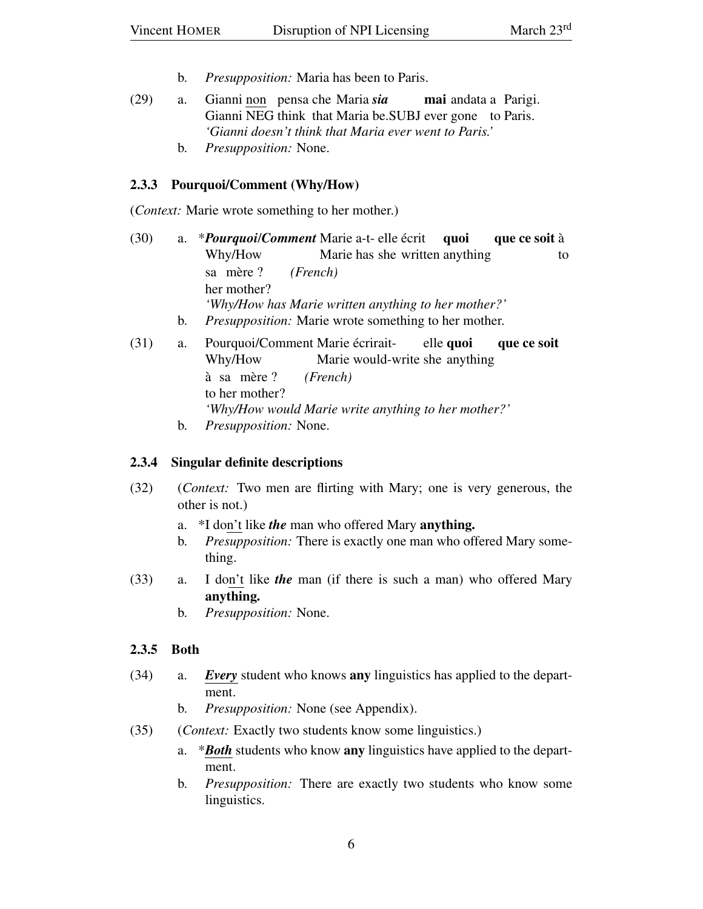- b. *Presupposition:* Maria has been to Paris.
- (29) a. Gianni non pensa che Maria *sia* Gianni NEG think that Maria be.SUBJ ever gone to Paris. mai andata a Parigi. *'Gianni doesn't think that Maria ever went to Paris.'*
	- b. *Presupposition:* None.

#### 2.3.3 Pourquoi/Comment (Why/How)

(*Context:* Marie wrote something to her mother.)

- (30) a. \**Pourquoi*/*Comment* Marie a-t-elle écrit Why/How Marie has she written anything quoi que ce soit à to sa mère ? her mother? *(French) 'Why/How has Marie written anything to her mother?'* b. *Presupposition:* Marie wrote something to her mother.
- (31) a. Pourquoi/Comment Marie écrirait-Why/How Marie would-write she anything elle quoi que ce soit à sa to her mother? mère ? *(French) 'Why/How would Marie write anything to her mother?'* b. *Presupposition:* None.

#### 2.3.4 Singular definite descriptions

- (32) (*Context:* Two men are flirting with Mary; one is very generous, the other is not.)
	- a. \*I don't like *the* man who offered Mary anything.
	- b. *Presupposition:* There is exactly one man who offered Mary something.
- (33) a. I don't like *the* man (if there is such a man) who offered Mary anything.
	- b. *Presupposition:* None.

#### 2.3.5 Both

- (34) a. *Every* student who knows any linguistics has applied to the department.
	- b. *Presupposition:* None (see Appendix).
- (35) (*Context:* Exactly two students know some linguistics.)
	- a. \**Both* students who know any linguistics have applied to the department.
	- b. *Presupposition:* There are exactly two students who know some linguistics.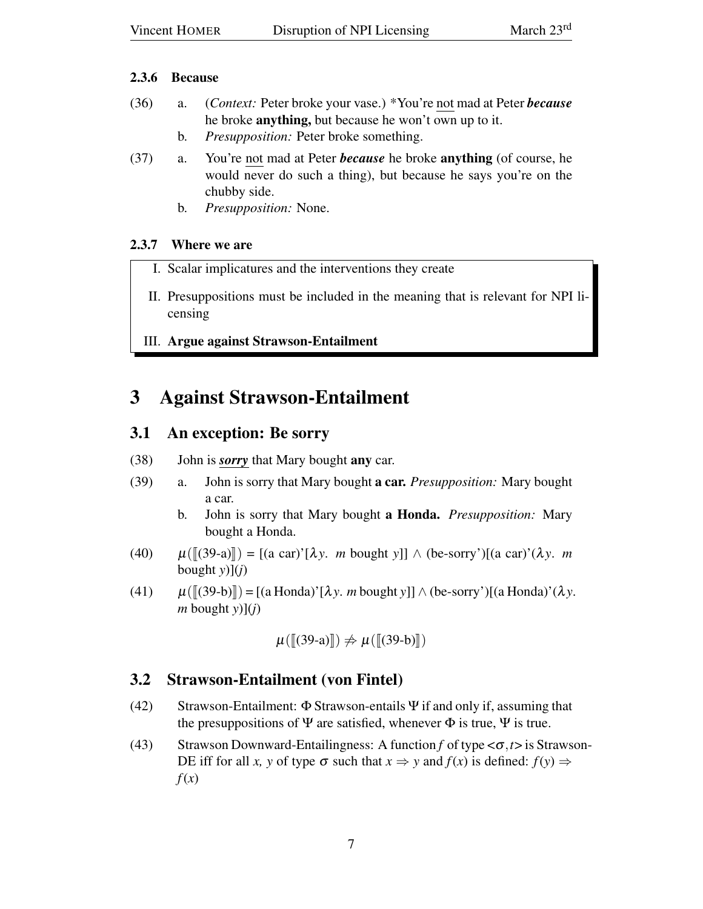#### 2.3.6 Because

- (36) a. (*Context:* Peter broke your vase.) \*You're not mad at Peter *because* he broke anything, but because he won't own up to it.
	- b. *Presupposition:* Peter broke something.
- (37) a. You're not mad at Peter *because* he broke anything (of course, he would never do such a thing), but because he says you're on the chubby side.
	- b. *Presupposition:* None.

### 2.3.7 Where we are

- I. Scalar implicatures and the interventions they create
- II. Presuppositions must be included in the meaning that is relevant for NPI licensing
- III. Argue against Strawson-Entailment

## 3 Against Strawson-Entailment

## 3.1 An exception: Be sorry

- (38) John is *sorry* that Mary bought any car.
- (39) a. John is sorry that Mary bought a car. *Presupposition:* Mary bought a car.
	- b. John is sorry that Mary bought a Honda. *Presupposition:* Mary bought a Honda.
- (40)  $\mu([39-a)] = [(a \text{ car})'[\lambda y, m \text{ bought } y]] \wedge (be-sorry')[(a \text{ car})'(\lambda y, m$ bought  $y$ ](*j*)
- (41)  $\mu([39-b]] = [(a \text{ Honda})'[\lambda y \cdot m \text{ bought } y]] \wedge (be-sorry')[(a \text{ Honda})'(\lambda y \cdot w \cdot b \cdot y \cdot m \cdot b \cdot y \cdot b \cdot y \cdot b \cdot y \cdot b \cdot y \cdot b \cdot y \cdot b \cdot y \cdot b \cdot y \cdot b \cdot y \cdot b \cdot y \cdot b \cdot y \cdot b \cdot y \cdot b \cdot y \cdot b \cdot y \cdot b \cdot y \cdot b \cdot y \cdot b \cdot y \cdot b \cdot y \cdot b \cdot y \cdot b \cdot y \cdot b \cdot y \cdot b \cdot y \cdot b \cdot y \cdot b \cdot y \cdot b \cdot y \cdot b \cdot y \cdot b \$  $m$  bought  $y$ ]( $i$ )

$$
\mu([\llbracket(39-a)\rrbracket)\nRightarrow \mu([\llbracket(39-b)\rrbracket)
$$

## 3.2 Strawson-Entailment (von Fintel)

- (42) Strawson-Entailment:  $\Phi$  Strawson-entails  $\Psi$  if and only if, assuming that the presuppositions of  $\Psi$  are satisfied, whenever  $\Phi$  is true,  $\Psi$  is true.
- (43) Strawson Downward-Entailingness: A function *f* of type <σ,*t*> is Strawson-DE iff for all *x*, y of type  $\sigma$  such that  $x \Rightarrow y$  and  $f(x)$  is defined:  $f(y) \Rightarrow$ *f*(*x*)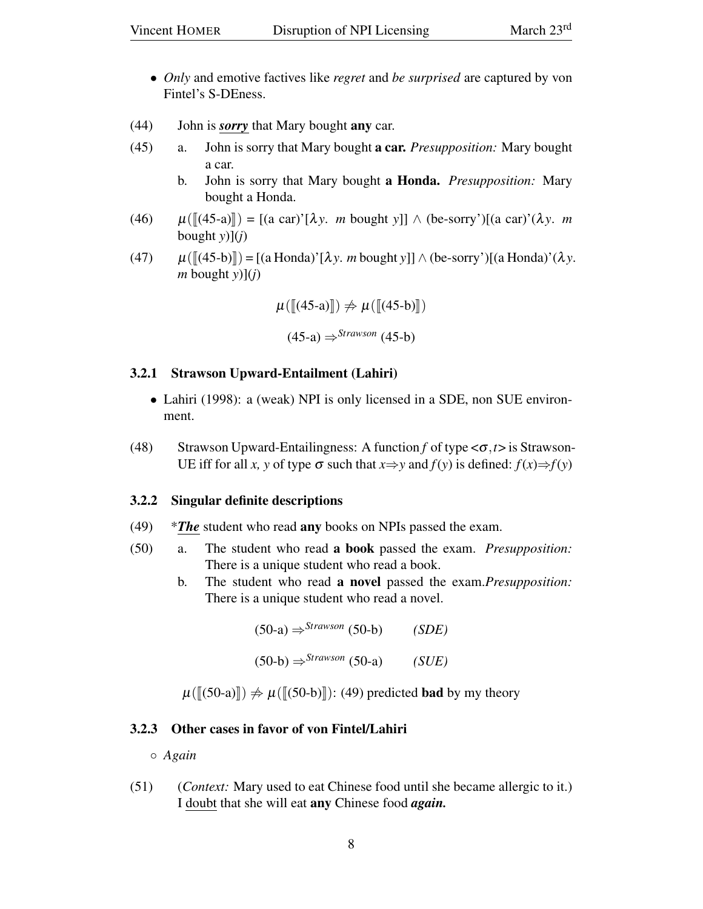- *Only* and emotive factives like *regret* and *be surprised* are captured by von Fintel's S-DEness.
- (44) John is *sorry* that Mary bought any car.
- (45) a. John is sorry that Mary bought a car. *Presupposition:* Mary bought a car.
	- b. John is sorry that Mary bought a Honda. *Presupposition:* Mary bought a Honda.
- $(\sqrt{46})$   $\mu([\sqrt{45}-a)]) = [(a \text{ car})^{\prime}[\lambda y, m \text{ bought } y]] \wedge (be \text{-sory}^{\prime})[(a \text{ car})^{\prime}(\lambda y, m \text{ bright } y]]$ bought  $y$ ](*j*)
- (47)  $\mu([45-b)]) = [(a \text{Honda})'[\lambda y, m \text{ bought } y]] \wedge (be-sorry')[(a \text{Honda})'(\lambda y.$ *m* bought *y*)](*j*)

$$
\mu([[45-a)] \Rightarrow \mu([[45-b)])
$$
  

$$
(45-a) \Rightarrow^{Strawson} (45-b)
$$

#### 3.2.1 Strawson Upward-Entailment (Lahiri)

- Lahiri (1998): a (weak) NPI is only licensed in a SDE, non SUE environment.
- (48) Strawson Upward-Entailingness: A function *f* of type <σ,*t*> is Strawson-UE iff for all *x*, y of type  $\sigma$  such that  $x \Rightarrow y$  and  $f(y)$  is defined:  $f(x) \Rightarrow f(y)$

#### 3.2.2 Singular definite descriptions

- (49) \**The* student who read any books on NPIs passed the exam.
- (50) a. The student who read a book passed the exam. *Presupposition:* There is a unique student who read a book.
	- b. The student who read a novel passed the exam.*Presupposition:* There is a unique student who read a novel.

$$
(50-a) \Rightarrow ^{Strawson} (50-b) \qquad (SDE)
$$

$$
(50-b) \Rightarrow ^{Strawson} (50-a) \qquad (SUE)
$$

 $\mu([50-a]] \neq \mu([50-b]]$ : (49) predicted **bad** by my theory

#### 3.2.3 Other cases in favor of von Fintel/Lahiri

◦ *Again*

(51) (*Context:* Mary used to eat Chinese food until she became allergic to it.) I doubt that she will eat any Chinese food *again.*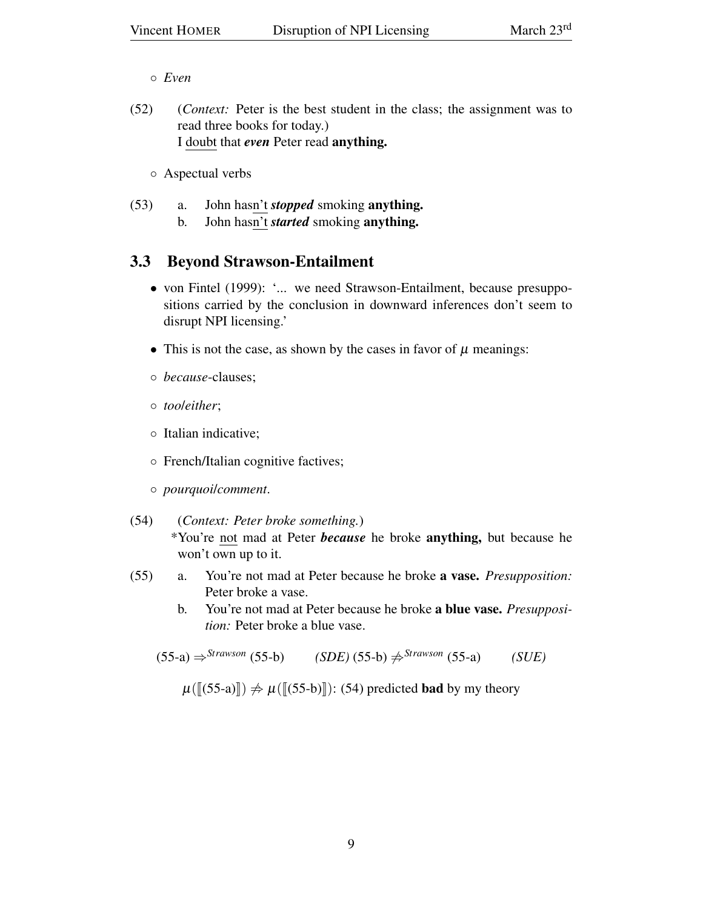◦ *Even*

(52) (*Context:* Peter is the best student in the class; the assignment was to read three books for today.) I doubt that *even* Peter read anything.

◦ Aspectual verbs

- (53) a. John hasn't *stopped* smoking anything.
	- b. John hasn't *started* smoking anything.

## 3.3 Beyond Strawson-Entailment

- von Fintel (1999): '... we need Strawson-Entailment, because presuppositions carried by the conclusion in downward inferences don't seem to disrupt NPI licensing.'
- This is not the case, as shown by the cases in favor of  $\mu$  meanings:
- *because*-clauses;
- *too*/*either*;
- Italian indicative;
- French/Italian cognitive factives;
- *pourquoi*/*comment*.
- (54) (*Context: Peter broke something.*) \*You're not mad at Peter *because* he broke anything, but because he won't own up to it.
- (55) a. You're not mad at Peter because he broke a vase. *Presupposition:* Peter broke a vase.
	- b. You're not mad at Peter because he broke a blue vase. *Presupposition:* Peter broke a blue vase.

 $(55-a) \Rightarrow$ <sup>Strawson</sup> (55-b) *(SDE)* (55-b)  $\Rightarrow$ <sup>Strawson</sup> (55-a) *(SUE)* 

 $\mu(\llbracket (55-a) \rrbracket) \neq \mu(\llbracket (55-b) \rrbracket)$ : (54) predicted **bad** by my theory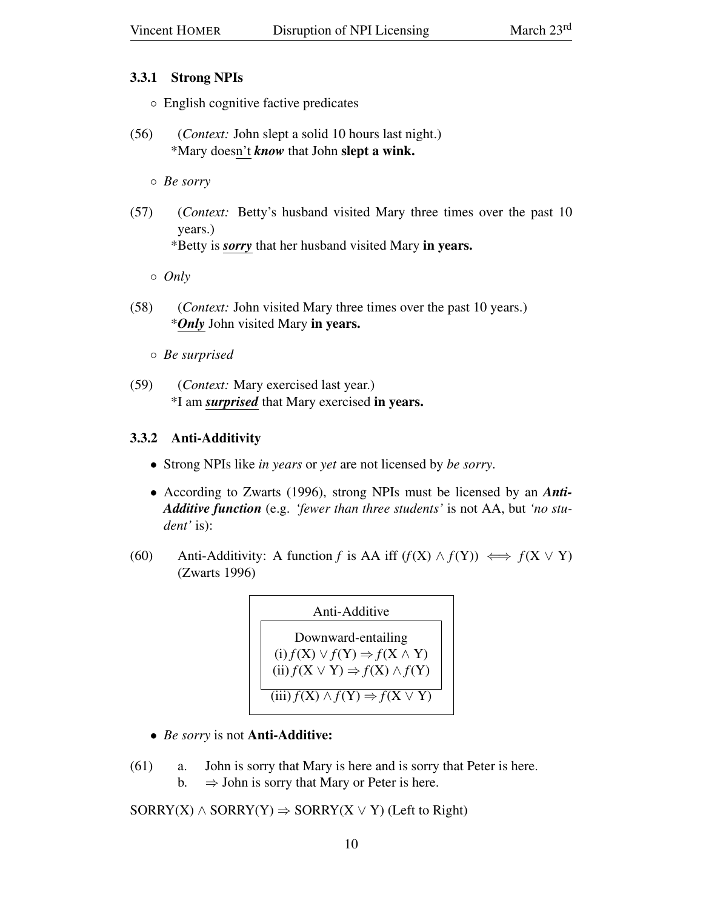### 3.3.1 Strong NPIs

- English cognitive factive predicates
- (56) (*Context:* John slept a solid 10 hours last night.) \*Mary doesn't *know* that John slept a wink.
	- *Be sorry*
- (57) (*Context:* Betty's husband visited Mary three times over the past 10 years.) \*Betty is *sorry* that her husband visited Mary in years.
	- *Only*
- (58) (*Context:* John visited Mary three times over the past 10 years.) \**Only* John visited Mary in years.
	- *Be surprised*
- (59) (*Context:* Mary exercised last year.) \*I am *surprised* that Mary exercised in years.

### 3.3.2 Anti-Additivity

- Strong NPIs like *in years* or *yet* are not licensed by *be sorry*.
- According to Zwarts (1996), strong NPIs must be licensed by an *Anti-Additive function* (e.g. *'fewer than three students'* is not AA, but *'no student'* is):
- (60) Anti-Additivity: A function *f* is AA iff  $(f(X) \land f(Y)) \iff f(X \lor Y)$ (Zwarts 1996)



- *Be sorry* is not **Anti-Additive:**
- (61) a. John is sorry that Mary is here and is sorry that Peter is here. b.  $\Rightarrow$  John is sorry that Mary or Peter is here.

 $SORRY(X) \wedge SORRY(Y) \Rightarrow SORRY(X \vee Y)$  (Left to Right)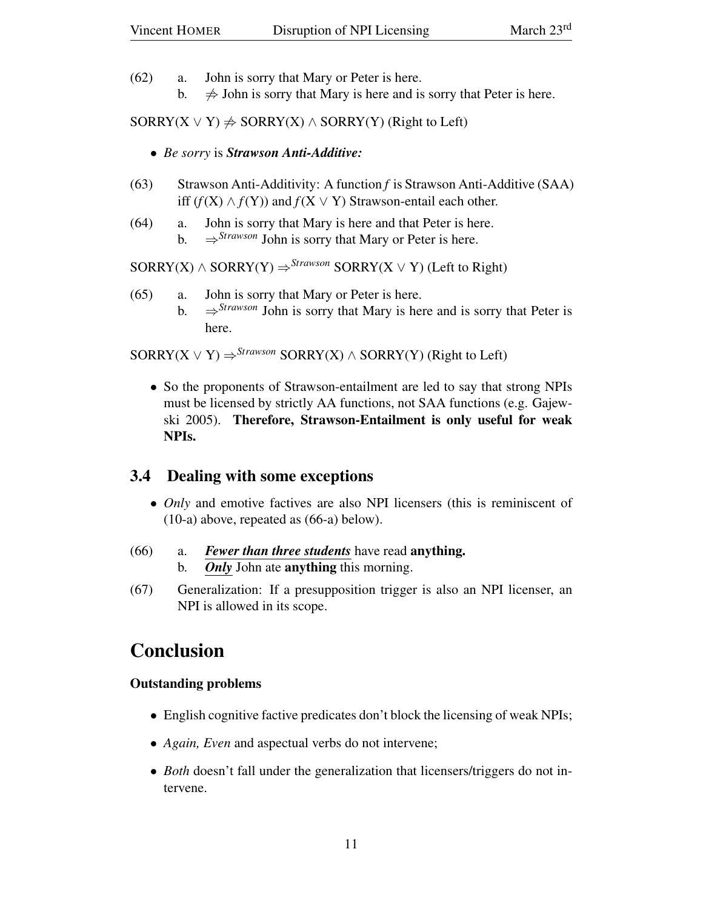- (62) a. John is sorry that Mary or Peter is here.
	- b.  $\Rightarrow$  John is sorry that Mary is here and is sorry that Peter is here.

 $SORRY(X \vee Y) \neq SORRY(X) \wedge SORRY(Y)$  (Right to Left)

- *Be sorry* is *Strawson Anti-Additive:*
- (63) Strawson Anti-Additivity: A function *f* is Strawson Anti-Additive (SAA) iff  $(f(X) \wedge f(Y))$  and  $f(X \vee Y)$  Strawson-entail each other.
- (64) a. John is sorry that Mary is here and that Peter is here.
	- b.  $\Rightarrow$  *Strawson* John is sorry that Mary or Peter is here.

 $SORRY(X) \wedge SORRY(Y) \Rightarrow$ <sup>Strawson</sup> SORRY(X  $\vee$  Y) (Left to Right)

- (65) a. John is sorry that Mary or Peter is here.
	- b.  $\Rightarrow$  *Strawson* John is sorry that Mary is here and is sorry that Peter is here.

 $SORRY(X \vee Y) \Rightarrow *Strawson* SORRY(X) \wedge SORRY(Y)$  (Right to Left)

• So the proponents of Strawson-entailment are led to say that strong NPIs must be licensed by strictly AA functions, not SAA functions (e.g. Gajewski 2005). Therefore, Strawson-Entailment is only useful for weak NPIs.

## 3.4 Dealing with some exceptions

- *Only* and emotive factives are also NPI licensers (this is reminiscent of (10-a) above, repeated as (66-a) below).
- (66) a. *Fewer than three students* have read anything. b. *Only* John ate anything this morning.
- (67) Generalization: If a presupposition trigger is also an NPI licenser, an NPI is allowed in its scope.

## Conclusion

### Outstanding problems

- English cognitive factive predicates don't block the licensing of weak NPIs;
- *Again, Even* and aspectual verbs do not intervene;
- *Both* doesn't fall under the generalization that licensers/triggers do not intervene.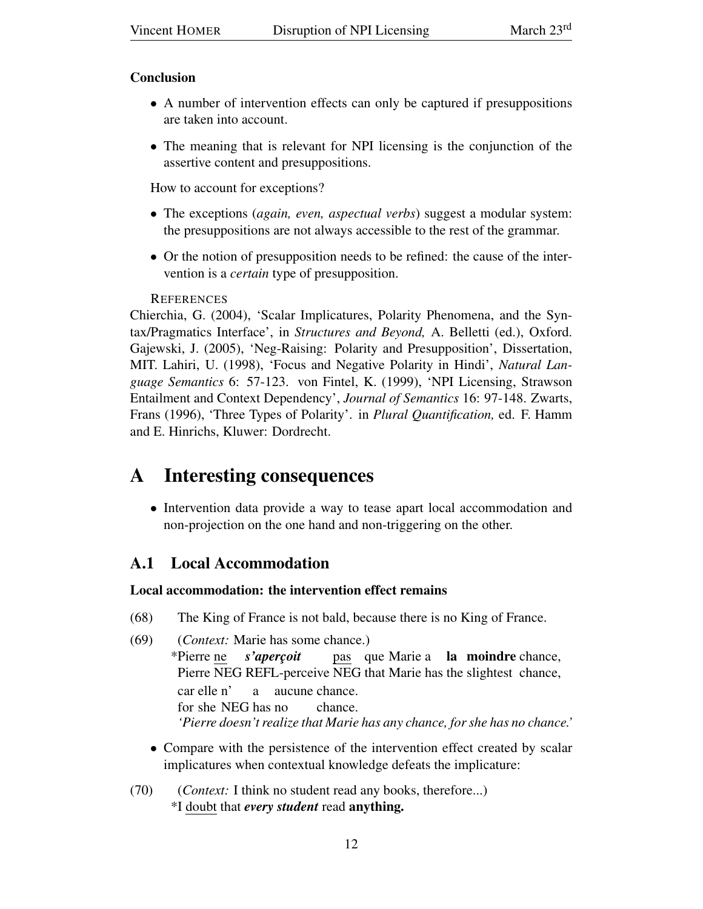#### Conclusion

- A number of intervention effects can only be captured if presuppositions are taken into account.
- The meaning that is relevant for NPI licensing is the conjunction of the assertive content and presuppositions.

How to account for exceptions?

- The exceptions (*again, even, aspectual verbs*) suggest a modular system: the presuppositions are not always accessible to the rest of the grammar.
- Or the notion of presupposition needs to be refined: the cause of the intervention is a *certain* type of presupposition.

#### **REFERENCES**

Chierchia, G. (2004), 'Scalar Implicatures, Polarity Phenomena, and the Syntax/Pragmatics Interface', in *Structures and Beyond,* A. Belletti (ed.), Oxford. Gajewski, J. (2005), 'Neg-Raising: Polarity and Presupposition', Dissertation, MIT. Lahiri, U. (1998), 'Focus and Negative Polarity in Hindi', *Natural Language Semantics* 6: 57-123. von Fintel, K. (1999), 'NPI Licensing, Strawson Entailment and Context Dependency', *Journal of Semantics* 16: 97-148. Zwarts, Frans (1996), 'Three Types of Polarity'. in *Plural Quantification,* ed. F. Hamm and E. Hinrichs, Kluwer: Dordrecht.

## A Interesting consequences

• Intervention data provide a way to tease apart local accommodation and non-projection on the one hand and non-triggering on the other.

## A.1 Local Accommodation

### Local accommodation: the intervention effect remains

- (68) The King of France is not bald, because there is no King of France.
- (69) (*Context:* Marie has some chance.) \*Pierre ne Pierre NEG REFL-perceive NEG that Marie has the slightest chance, *s'aperçoit* pas que Marie a la moindre chance, car elle n' for she NEG has no a aucune chance. chance. *'Pierre doesn't realize that Marie has any chance, for she has no chance.'*
	- Compare with the persistence of the intervention effect created by scalar implicatures when contextual knowledge defeats the implicature:
- (70) (*Context:* I think no student read any books, therefore...) \*I doubt that *every student* read anything.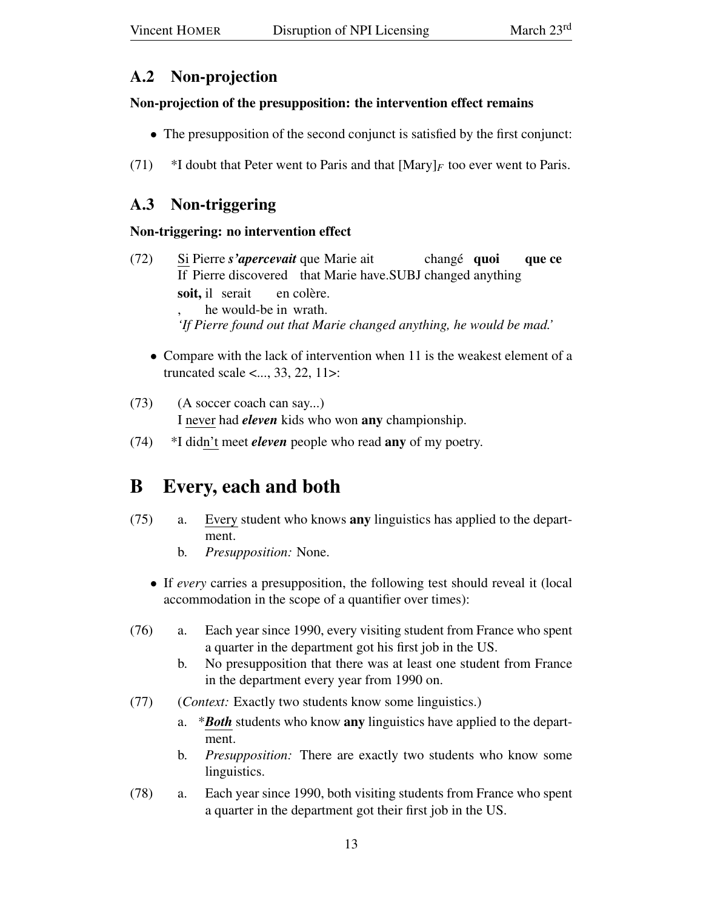## A.2 Non-projection

#### Non-projection of the presupposition: the intervention effect remains

- The presupposition of the second conjunct is satisfied by the first conjunct:
- (71)  $*I$  doubt that Peter went to Paris and that  $[Mary]_F$  too ever went to Paris.

## A.3 Non-triggering

### Non-triggering: no intervention effect

- $(72)$ If Pierre discovered that Marie have.SUBJ changed anything Pierre *s'apercevait* que Marie ait changé quoi que ce soit, il serait , he would-be in wrath. en colère. *'If Pierre found out that Marie changed anything, he would be mad.'*
	- Compare with the lack of intervention when 11 is the weakest element of a truncated scale <..., 33, 22, 11>:
- (73) (A soccer coach can say...) I never had *eleven* kids who won any championship.
- (74) \*I didn't meet *eleven* people who read any of my poetry.

# B Every, each and both

- (75) a. Every student who knows any linguistics has applied to the department.
	- b. *Presupposition:* None.
	- If *every* carries a presupposition, the following test should reveal it (local accommodation in the scope of a quantifier over times):
- (76) a. Each year since 1990, every visiting student from France who spent a quarter in the department got his first job in the US.
	- b. No presupposition that there was at least one student from France in the department every year from 1990 on.
- (77) (*Context:* Exactly two students know some linguistics.)
	- a. \**Both* students who know any linguistics have applied to the department.
	- b. *Presupposition:* There are exactly two students who know some linguistics.
- (78) a. Each year since 1990, both visiting students from France who spent a quarter in the department got their first job in the US.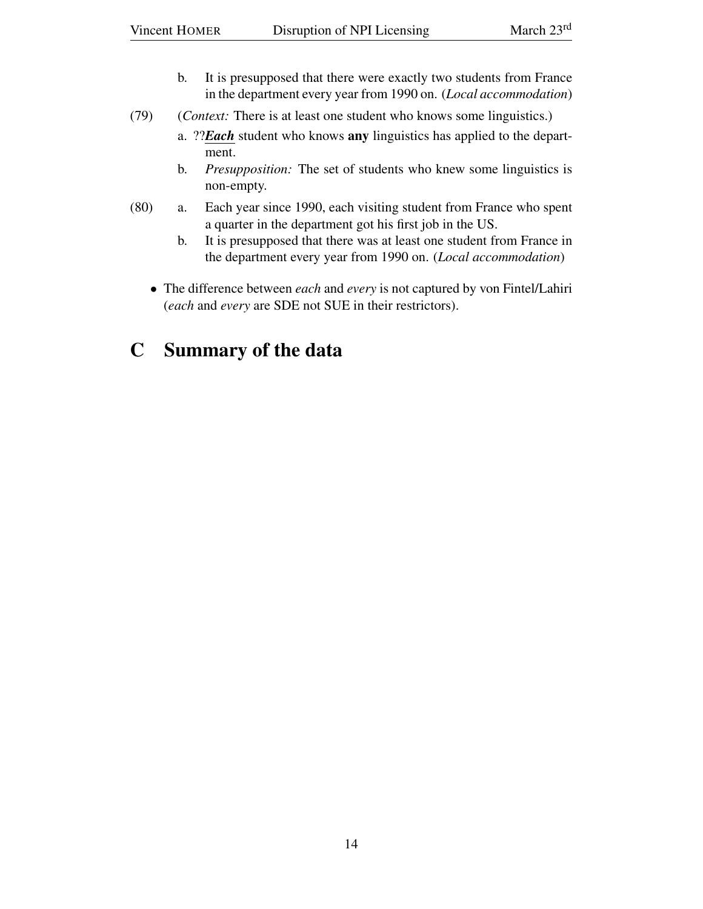- b. It is presupposed that there were exactly two students from France in the department every year from 1990 on. (*Local accommodation*)
- (79) (*Context:* There is at least one student who knows some linguistics.)
	- a. ??*Each* student who knows any linguistics has applied to the department.
	- b. *Presupposition:* The set of students who knew some linguistics is non-empty.
- (80) a. Each year since 1990, each visiting student from France who spent a quarter in the department got his first job in the US.
	- b. It is presupposed that there was at least one student from France in the department every year from 1990 on. (*Local accommodation*)
	- The difference between *each* and *every* is not captured by von Fintel/Lahiri (*each* and *every* are SDE not SUE in their restrictors).

## C Summary of the data